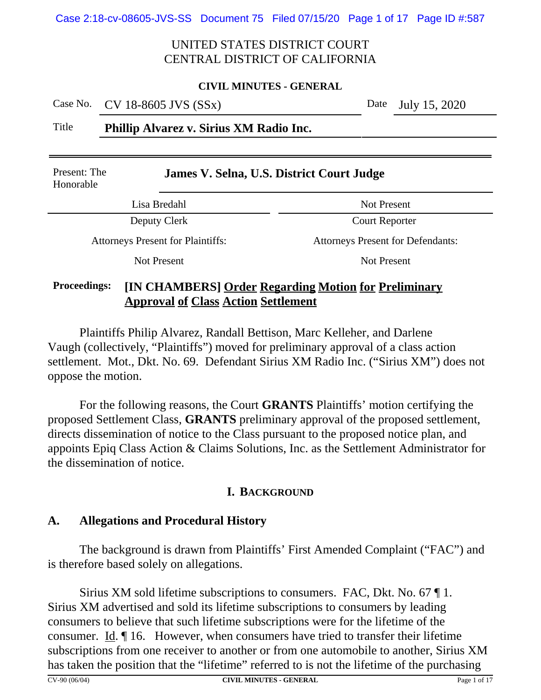#### **CIVIL MINUTES - GENERAL**

Case No. CV 18-8605 JVS (SSx) Date July 15, 2020

Title **Phillip Alvarez v. Sirius XM Radio Inc.**

| Present: The<br>Honorable                | James V. Selna, U.S. District Court Judge                   |  |  |  |  |
|------------------------------------------|-------------------------------------------------------------|--|--|--|--|
| Lisa Bredahl                             | Not Present                                                 |  |  |  |  |
| Deputy Clerk                             | <b>Court Reporter</b>                                       |  |  |  |  |
| <b>Attorneys Present for Plaintiffs:</b> | <b>Attorneys Present for Defendants:</b>                    |  |  |  |  |
| Not Present                              | Not Present                                                 |  |  |  |  |
| Drocoodings.                             | <b>IIN CILAMPERS Order Desending Metien for Dreliminary</b> |  |  |  |  |

#### **Proceedings: [IN CHAMBERS] Order Regarding Motion for Preliminary Approval of Class Action Settlement**

Plaintiffs Philip Alvarez, Randall Bettison, Marc Kelleher, and Darlene Vaugh (collectively, "Plaintiffs") moved for preliminary approval of a class action settlement. Mot., Dkt. No. 69. Defendant Sirius XM Radio Inc. ("Sirius XM") does not oppose the motion.

For the following reasons, the Court **GRANTS** Plaintiffs' motion certifying the proposed Settlement Class, **GRANTS** preliminary approval of the proposed settlement, directs dissemination of notice to the Class pursuant to the proposed notice plan, and appoints Epiq Class Action & Claims Solutions, Inc. as the Settlement Administrator for the dissemination of notice.

## **I. BACKGROUND**

## **A. Allegations and Procedural History**

The background is drawn from Plaintiffs' First Amended Complaint ("FAC") and is therefore based solely on allegations.

Sirius XM sold lifetime subscriptions to consumers. FAC, Dkt. No. 67 ¶ 1. Sirius XM advertised and sold its lifetime subscriptions to consumers by leading consumers to believe that such lifetime subscriptions were for the lifetime of the consumer. Id. ¶ 16. However, when consumers have tried to transfer their lifetime subscriptions from one receiver to another or from one automobile to another, Sirius XM has taken the position that the "lifetime" referred to is not the lifetime of the purchasing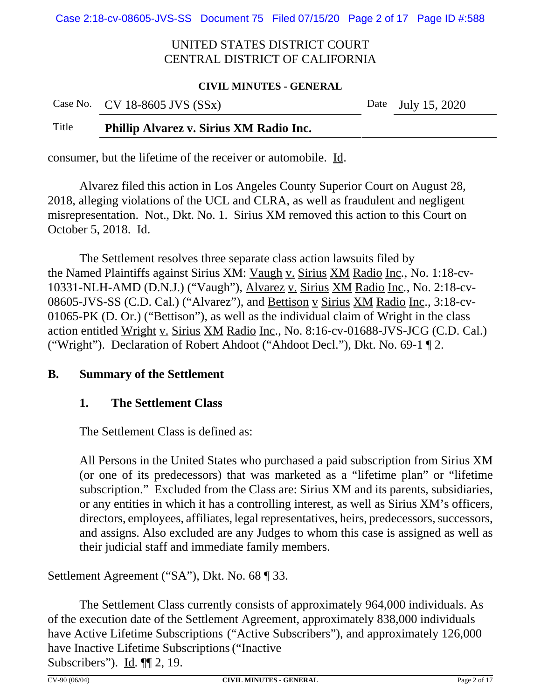#### **CIVIL MINUTES - GENERAL**

| Case No. CV 18-8605 JVS $(SSx)$ | Date July 15, 2020 |
|---------------------------------|--------------------|
|                                 |                    |

# Title **Phillip Alvarez v. Sirius XM Radio Inc.**

consumer, but the lifetime of the receiver or automobile. Id.

Alvarez filed this action in Los Angeles County Superior Court on August 28, 2018, alleging violations of the UCL and CLRA, as well as fraudulent and negligent misrepresentation. Not., Dkt. No. 1. Sirius XM removed this action to this Court on October 5, 2018. Id.

The Settlement resolves three separate class action lawsuits filed by the Named Plaintiffs against Sirius XM: Vaugh v. Sirius XM Radio Inc*.*, No. 1:18-cv-10331-NLH-AMD (D.N.J.) ("Vaugh"), Alvarez v. Sirius XM Radio Inc*.*, No. 2:18-cv-08605-JVS-SS (C.D. Cal.) ("Alvarez"), and Bettison v Sirius XM Radio Inc., 3:18-cv-01065-PK (D. Or.) ("Bettison"), as well as the individual claim of Wright in the class action entitled Wright v. Sirius XM Radio Inc., No. 8:16-cv-01688-JVS-JCG (C.D. Cal.) ("Wright"). Declaration of Robert Ahdoot ("Ahdoot Decl."), Dkt. No. 69-1 ¶ 2.

## **B. Summary of the Settlement**

#### **1. The Settlement Class**

The Settlement Class is defined as:

All Persons in the United States who purchased a paid subscription from Sirius XM (or one of its predecessors) that was marketed as a "lifetime plan" or "lifetime subscription." Excluded from the Class are: Sirius XM and its parents, subsidiaries, or any entities in which it has a controlling interest, as well as Sirius XM's officers, directors, employees, affiliates, legal representatives, heirs, predecessors, successors, and assigns. Also excluded are any Judges to whom this case is assigned as well as their judicial staff and immediate family members.

Settlement Agreement ("SA"), Dkt. No. 68 ¶ 33.

The Settlement Class currently consists of approximately 964,000 individuals. As of the execution date of the Settlement Agreement, approximately 838,000 individuals have Active Lifetime Subscriptions ("Active Subscribers"), and approximately 126,000 have Inactive Lifetime Subscriptions("Inactive Subscribers"). Id. ¶¶ 2, 19.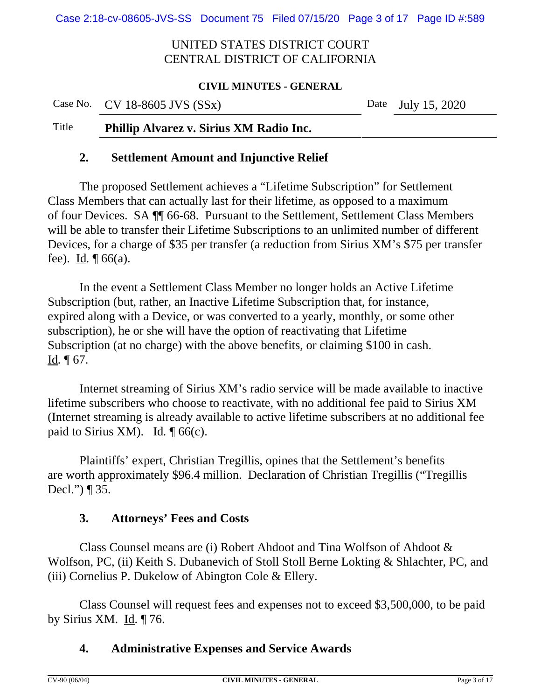#### **CIVIL MINUTES - GENERAL**

#### Case No. CV 18-8605 JVS (SSx) Date July 15, 2020

## Title **Phillip Alvarez v. Sirius XM Radio Inc.**

#### **2. Settlement Amount and Injunctive Relief**

The proposed Settlement achieves a "Lifetime Subscription" for Settlement Class Members that can actually last for their lifetime, as opposed to a maximum of four Devices. SA ¶¶ 66-68. Pursuant to the Settlement, Settlement Class Members will be able to transfer their Lifetime Subscriptions to an unlimited number of different Devices, for a charge of \$35 per transfer (a reduction from Sirius XM's \$75 per transfer fee). Id*.* ¶ 66(a).

In the event a Settlement Class Member no longer holds an Active Lifetime Subscription (but, rather, an Inactive Lifetime Subscription that, for instance, expired along with a Device, or was converted to a yearly, monthly, or some other subscription), he or she will have the option of reactivating that Lifetime Subscription (at no charge) with the above benefits, or claiming \$100 in cash.  $\underline{Id}$ .  $\P$  67.

Internet streaming of Sirius XM's radio service will be made available to inactive lifetime subscribers who choose to reactivate, with no additional fee paid to Sirius XM (Internet streaming is already available to active lifetime subscribers at no additional fee paid to Sirius XM). Id*.* ¶ 66(c).

Plaintiffs' expert, Christian Tregillis, opines that the Settlement's benefits are worth approximately \$96.4 million. Declaration of Christian Tregillis ("Tregillis Decl.") ¶ 35.

## **3. Attorneys' Fees and Costs**

Class Counsel means are (i) Robert Ahdoot and Tina Wolfson of Ahdoot & Wolfson, PC, (ii) Keith S. Dubanevich of Stoll Stoll Berne Lokting & Shlachter, PC, and (iii) Cornelius P. Dukelow of Abington Cole & Ellery.

Class Counsel will request fees and expenses not to exceed \$3,500,000, to be paid by Sirius XM. Id. ¶ 76.

## **4. Administrative Expenses and Service Awards**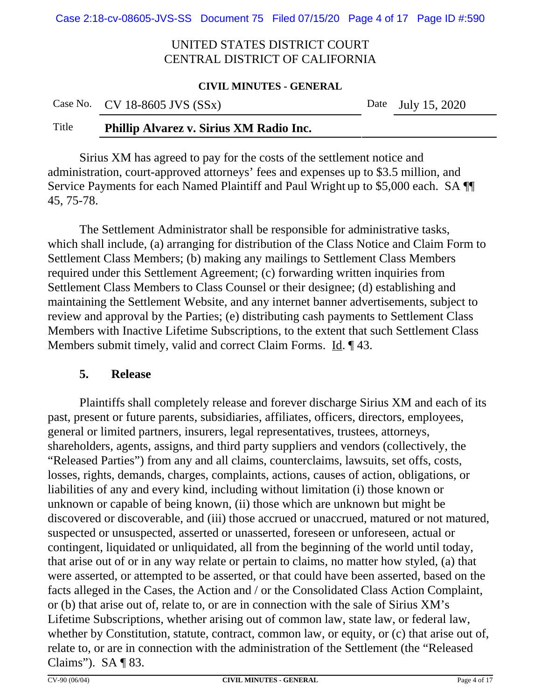#### **CIVIL MINUTES - GENERAL**

| Case No. CV 18-8605 JVS $(SSx)$ | Date July 15, 2020 |
|---------------------------------|--------------------|
|                                 |                    |

## Title **Phillip Alvarez v. Sirius XM Radio Inc.**

Sirius XM has agreed to pay for the costs of the settlement notice and administration, court-approved attorneys' fees and expenses up to \$3.5 million, and Service Payments for each Named Plaintiff and Paul Wright up to \$5,000 each. SA ¶¶ 45, 75-78.

The Settlement Administrator shall be responsible for administrative tasks, which shall include, (a) arranging for distribution of the Class Notice and Claim Form to Settlement Class Members; (b) making any mailings to Settlement Class Members required under this Settlement Agreement; (c) forwarding written inquiries from Settlement Class Members to Class Counsel or their designee; (d) establishing and maintaining the Settlement Website, and any internet banner advertisements, subject to review and approval by the Parties; (e) distributing cash payments to Settlement Class Members with Inactive Lifetime Subscriptions, to the extent that such Settlement Class Members submit timely, valid and correct Claim Forms. Id.  $\P$  43.

#### **5. Release**

Plaintiffs shall completely release and forever discharge Sirius XM and each of its past, present or future parents, subsidiaries, affiliates, officers, directors, employees, general or limited partners, insurers, legal representatives, trustees, attorneys, shareholders, agents, assigns, and third party suppliers and vendors (collectively, the "Released Parties") from any and all claims, counterclaims, lawsuits, set offs, costs, losses, rights, demands, charges, complaints, actions, causes of action, obligations, or liabilities of any and every kind, including without limitation (i) those known or unknown or capable of being known, (ii) those which are unknown but might be discovered or discoverable, and (iii) those accrued or unaccrued, matured or not matured, suspected or unsuspected, asserted or unasserted, foreseen or unforeseen, actual or contingent, liquidated or unliquidated, all from the beginning of the world until today, that arise out of or in any way relate or pertain to claims, no matter how styled, (a) that were asserted, or attempted to be asserted, or that could have been asserted, based on the facts alleged in the Cases, the Action and / or the Consolidated Class Action Complaint, or (b) that arise out of, relate to, or are in connection with the sale of Sirius XM's Lifetime Subscriptions, whether arising out of common law, state law, or federal law, whether by Constitution, statute, contract, common law, or equity, or (c) that arise out of, relate to, or are in connection with the administration of the Settlement (the "Released Claims"). SA ¶ 83.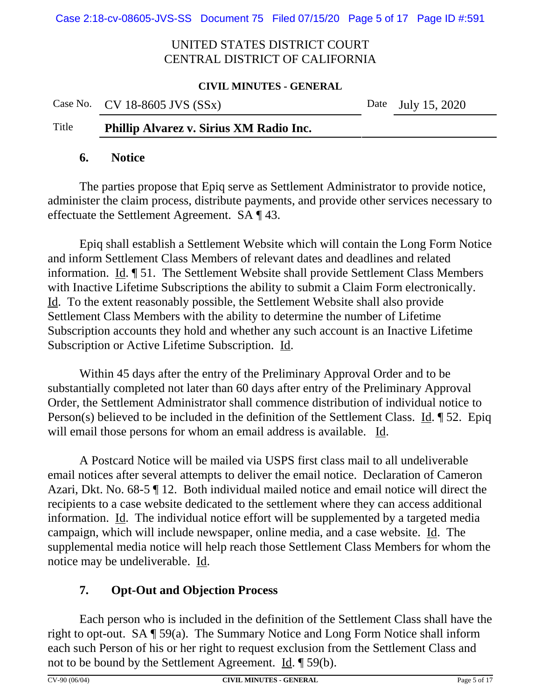#### **CIVIL MINUTES - GENERAL**

|       | Case No. CV 18-8605 JVS (SSx) | Date July 15, 2020 |
|-------|-------------------------------|--------------------|
| _____ |                               |                    |

## Title **Phillip Alvarez v. Sirius XM Radio Inc.**

#### **6. Notice**

The parties propose that Epiq serve as Settlement Administrator to provide notice, administer the claim process, distribute payments, and provide other services necessary to effectuate the Settlement Agreement. SA ¶ 43.

Epiq shall establish a Settlement Website which will contain the Long Form Notice and inform Settlement Class Members of relevant dates and deadlines and related information. Id. ¶ 51. The Settlement Website shall provide Settlement Class Members with Inactive Lifetime Subscriptions the ability to submit a Claim Form electronically. Id. To the extent reasonably possible, the Settlement Website shall also provide Settlement Class Members with the ability to determine the number of Lifetime Subscription accounts they hold and whether any such account is an Inactive Lifetime Subscription or Active Lifetime Subscription. Id.

Within 45 days after the entry of the Preliminary Approval Order and to be substantially completed not later than 60 days after entry of the Preliminary Approval Order, the Settlement Administrator shall commence distribution of individual notice to Person(s) believed to be included in the definition of the Settlement Class. Id. ¶ 52. Epiq will email those persons for whom an email address is available. Id.

A Postcard Notice will be mailed via USPS first class mail to all undeliverable email notices after several attempts to deliver the email notice. Declaration of Cameron Azari, Dkt. No. 68-5 ¶ 12. Both individual mailed notice and email notice will direct the recipients to a case website dedicated to the settlement where they can access additional information. Id. The individual notice effort will be supplemented by a targeted media campaign, which will include newspaper, online media, and a case website. Id. The supplemental media notice will help reach those Settlement Class Members for whom the notice may be undeliverable. Id.

# **7. Opt-Out and Objection Process**

Each person who is included in the definition of the Settlement Class shall have the right to opt-out. SA ¶ 59(a). The Summary Notice and Long Form Notice shall inform each such Person of his or her right to request exclusion from the Settlement Class and not to be bound by the Settlement Agreement. Id. ¶ 59(b).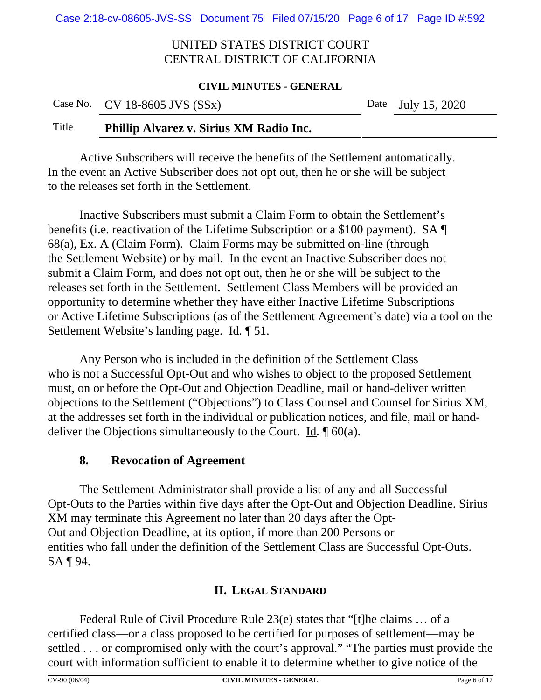#### **CIVIL MINUTES - GENERAL**

| Case No. CV 18-8605 JVS $(SSx)$ | Date July 15, 2020 |  |
|---------------------------------|--------------------|--|
|                                 |                    |  |

# Title **Phillip Alvarez v. Sirius XM Radio Inc.**

Active Subscribers will receive the benefits of the Settlement automatically. In the event an Active Subscriber does not opt out, then he or she will be subject to the releases set forth in the Settlement.

Inactive Subscribers must submit a Claim Form to obtain the Settlement's benefits (i.e. reactivation of the Lifetime Subscription or a \$100 payment). SA ¶ 68(a), Ex. A (Claim Form). Claim Forms may be submitted on-line (through the Settlement Website) or by mail. In the event an Inactive Subscriber does not submit a Claim Form, and does not opt out, then he or she will be subject to the releases set forth in the Settlement. Settlement Class Members will be provided an opportunity to determine whether they have either Inactive Lifetime Subscriptions or Active Lifetime Subscriptions (as of the Settlement Agreement's date) via a tool on the Settlement Website's landing page. Id*.* ¶ 51.

Any Person who is included in the definition of the Settlement Class who is not a Successful Opt-Out and who wishes to object to the proposed Settlement must, on or before the Opt-Out and Objection Deadline, mail or hand-deliver written objections to the Settlement ("Objections") to Class Counsel and Counsel for Sirius XM, at the addresses set forth in the individual or publication notices, and file, mail or handdeliver the Objections simultaneously to the Court. Id*.* ¶ 60(a).

## **8. Revocation of Agreement**

The Settlement Administrator shall provide a list of any and all Successful Opt-Outs to the Parties within five days after the Opt-Out and Objection Deadline. Sirius XM may terminate this Agreement no later than 20 days after the Opt-Out and Objection Deadline, at its option, if more than 200 Persons or entities who fall under the definition of the Settlement Class are Successful Opt-Outs. SA ¶ 94.

# **II. LEGAL STANDARD**

Federal Rule of Civil Procedure Rule 23(e) states that "[t]he claims … of a certified class—or a class proposed to be certified for purposes of settlement—may be settled . . . or compromised only with the court's approval." "The parties must provide the court with information sufficient to enable it to determine whether to give notice of the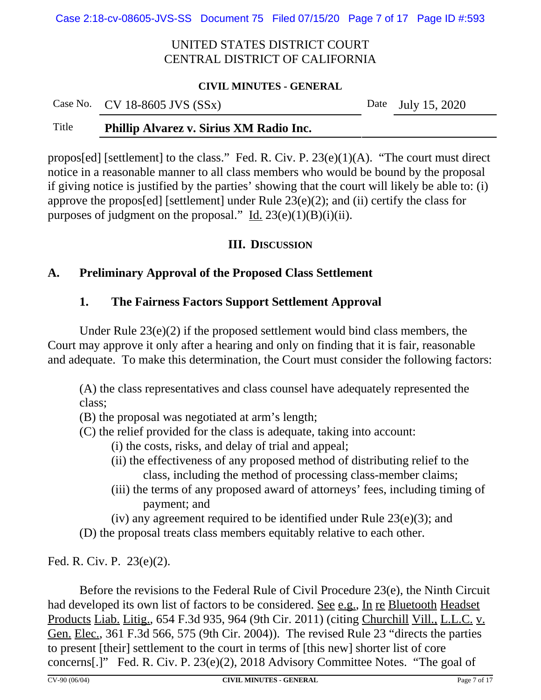Case 2:18-cv-08605-JVS-SS Document 75 Filed 07/15/20 Page 7 of 17 Page ID #:593

## UNITED STATES DISTRICT COURT CENTRAL DISTRICT OF CALIFORNIA

#### **CIVIL MINUTES - GENERAL**

| Case No. $CV$ 18-8605 JVS $(SSx)$ | Date July 15, 2020 |
|-----------------------------------|--------------------|
|                                   |                    |

# Title **Phillip Alvarez v. Sirius XM Radio Inc.**

propos[ed] [settlement] to the class." Fed. R. Civ. P. 23(e)(1)(A). "The court must direct notice in a reasonable manner to all class members who would be bound by the proposal if giving notice is justified by the parties' showing that the court will likely be able to: (i) approve the propos[ed] [settlement] under Rule 23(e)(2); and (ii) certify the class for purposes of judgment on the proposal." Id.  $23(e)(1)(B)(i)(ii)$ .

# **III. DISCUSSION**

# **A. Preliminary Approval of the Proposed Class Settlement**

# **1. The Fairness Factors Support Settlement Approval**

Under Rule 23(e)(2) if the proposed settlement would bind class members, the Court may approve it only after a hearing and only on finding that it is fair, reasonable and adequate. To make this determination, the Court must consider the following factors:

(A) the class representatives and class counsel have adequately represented the class;

(B) the proposal was negotiated at arm's length;

- (C) the relief provided for the class is adequate, taking into account:
	- (i) the costs, risks, and delay of trial and appeal;
	- (ii) the effectiveness of any proposed method of distributing relief to the class, including the method of processing class-member claims;
	- (iii) the terms of any proposed award of attorneys' fees, including timing of payment; and
	- (iv) any agreement required to be identified under Rule  $23(e)(3)$ ; and

(D) the proposal treats class members equitably relative to each other.

Fed. R. Civ. P. 23(e)(2).

Before the revisions to the Federal Rule of Civil Procedure 23(e), the Ninth Circuit had developed its own list of factors to be considered. See e.g., In re Bluetooth Headset Products Liab. Litig., 654 F.3d 935, 964 (9th Cir. 2011) (citing Churchill Vill., L.L.C. v. Gen. Elec., 361 F.3d 566, 575 (9th Cir. 2004)). The revised Rule 23 "directs the parties to present [their] settlement to the court in terms of [this new] shorter list of core concerns[.]" Fed. R. Civ. P. 23(e)(2), 2018 Advisory Committee Notes. "The goal of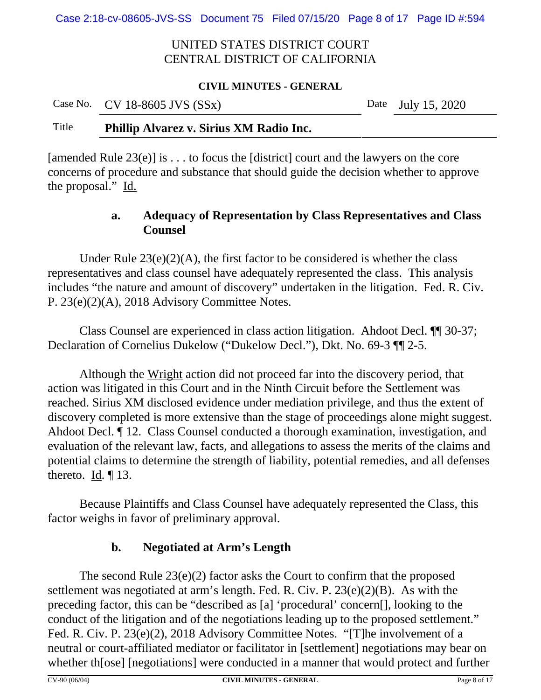Case 2:18-cv-08605-JVS-SS Document 75 Filed 07/15/20 Page 8 of 17 Page ID #:594

## UNITED STATES DISTRICT COURT CENTRAL DISTRICT OF CALIFORNIA

#### **CIVIL MINUTES - GENERAL**

|       | Case No. CV 18-8605 JVS $(SSx)$         | Date July 15, 2020 |
|-------|-----------------------------------------|--------------------|
| Title | Phillip Alvarez v. Sirius XM Radio Inc. |                    |

[amended Rule  $23(e)$ ] is ... to focus the [district] court and the lawyers on the core concerns of procedure and substance that should guide the decision whether to approve the proposal." Id.

## **a. Adequacy of Representation by Class Representatives and Class Counsel**

Under Rule  $23(e)(2)(A)$ , the first factor to be considered is whether the class representatives and class counsel have adequately represented the class. This analysis includes "the nature and amount of discovery" undertaken in the litigation. Fed. R. Civ. P. 23(e)(2)(A), 2018 Advisory Committee Notes.

Class Counsel are experienced in class action litigation. Ahdoot Decl. ¶¶ 30-37; Declaration of Cornelius Dukelow ("Dukelow Decl."), Dkt. No. 69-3 ¶¶ 2-5.

Although the Wright action did not proceed far into the discovery period, that action was litigated in this Court and in the Ninth Circuit before the Settlement was reached. Sirius XM disclosed evidence under mediation privilege, and thus the extent of discovery completed is more extensive than the stage of proceedings alone might suggest. Ahdoot Decl. ¶ 12. Class Counsel conducted a thorough examination, investigation, and evaluation of the relevant law, facts, and allegations to assess the merits of the claims and potential claims to determine the strength of liability, potential remedies, and all defenses thereto.  $\underline{Id}$ .  $\P$  13.

Because Plaintiffs and Class Counsel have adequately represented the Class, this factor weighs in favor of preliminary approval.

# **b. Negotiated at Arm's Length**

The second Rule 23(e)(2) factor asks the Court to confirm that the proposed settlement was negotiated at arm's length. Fed. R. Civ. P. 23(e)(2)(B). As with the preceding factor, this can be "described as [a] 'procedural' concern[], looking to the conduct of the litigation and of the negotiations leading up to the proposed settlement." Fed. R. Civ. P. 23(e)(2), 2018 Advisory Committee Notes. "[T]he involvement of a neutral or court-affiliated mediator or facilitator in [settlement] negotiations may bear on whether th[ose] [negotiations] were conducted in a manner that would protect and further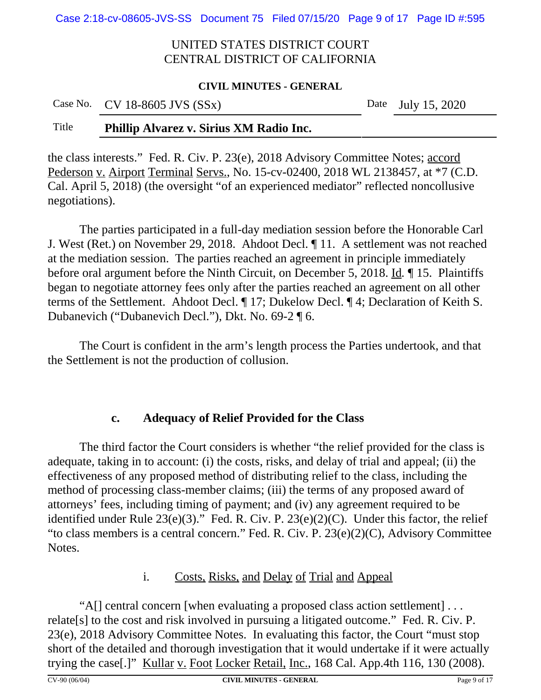Case 2:18-cv-08605-JVS-SS Document 75 Filed 07/15/20 Page 9 of 17 Page ID #:595

## UNITED STATES DISTRICT COURT CENTRAL DISTRICT OF CALIFORNIA

#### **CIVIL MINUTES - GENERAL**

| Case No. CV 18-8605 JVS (SSx) | Date July 15, 2020 |
|-------------------------------|--------------------|
|                               |                    |

# Title **Phillip Alvarez v. Sirius XM Radio Inc.**

the class interests." Fed. R. Civ. P. 23(e), 2018 Advisory Committee Notes; accord Pederson v. Airport Terminal Servs., No. 15-cv-02400, 2018 WL 2138457, at \*7 (C.D. Cal. April 5, 2018) (the oversight "of an experienced mediator" reflected noncollusive negotiations).

The parties participated in a full-day mediation session before the Honorable Carl J. West (Ret.) on November 29, 2018. Ahdoot Decl. ¶ 11. A settlement was not reached at the mediation session. The parties reached an agreement in principle immediately before oral argument before the Ninth Circuit, on December 5, 2018. Id*.* ¶ 15. Plaintiffs began to negotiate attorney fees only after the parties reached an agreement on all other terms of the Settlement. Ahdoot Decl. ¶ 17; Dukelow Decl. ¶ 4; Declaration of Keith S. Dubanevich ("Dubanevich Decl."), Dkt. No. 69-2 ¶ 6.

The Court is confident in the arm's length process the Parties undertook, and that the Settlement is not the production of collusion.

#### **c. Adequacy of Relief Provided for the Class**

The third factor the Court considers is whether "the relief provided for the class is adequate, taking in to account: (i) the costs, risks, and delay of trial and appeal; (ii) the effectiveness of any proposed method of distributing relief to the class, including the method of processing class-member claims; (iii) the terms of any proposed award of attorneys' fees, including timing of payment; and (iv) any agreement required to be identified under Rule  $23(e)(3)$ ." Fed. R. Civ. P.  $23(e)(2)(C)$ . Under this factor, the relief "to class members is a central concern." Fed. R. Civ. P. 23(e)(2)(C), Advisory Committee Notes.

## i. Costs, Risks, and Delay of Trial and Appeal

"A[] central concern [when evaluating a proposed class action settlement] . . . relate[s] to the cost and risk involved in pursuing a litigated outcome." Fed. R. Civ. P. 23(e), 2018 Advisory Committee Notes. In evaluating this factor, the Court "must stop short of the detailed and thorough investigation that it would undertake if it were actually trying the case<sup>[1]</sup>" Kullar v. Foot Locker Retail, Inc., 168 Cal. App.4th 116, 130 (2008).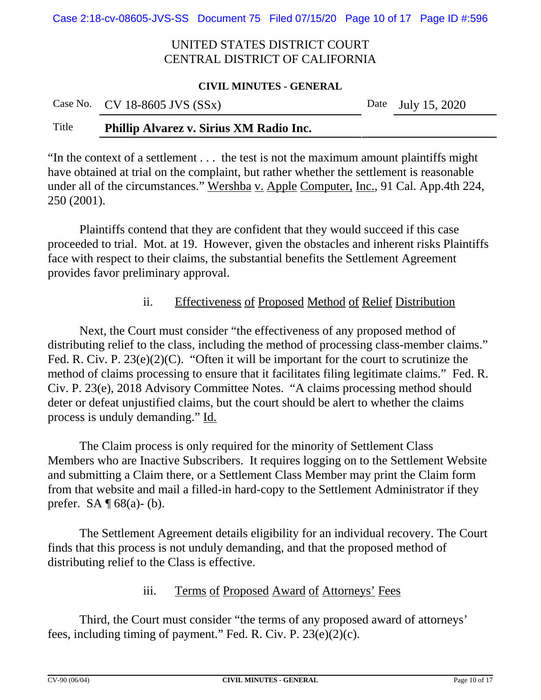Case 2:18-cv-08605-JVS-SS Document 75 Filed 07/15/20 Page 10 of 17 Page ID #:596

## UNITED STATES DISTRICT COURT CENTRAL DISTRICT OF CALIFORNIA

#### **CIVIL MINUTES - GENERAL**

| Case No. CV 18-8605 JVS $(SSx)$<br>Date July 15, 2020 |  |
|-------------------------------------------------------|--|
|-------------------------------------------------------|--|

## Title **Phillip Alvarez v. Sirius XM Radio Inc.**

"In the context of a settlement . . . the test is not the maximum amount plaintiffs might have obtained at trial on the complaint, but rather whether the settlement is reasonable under all of the circumstances." Wershba v. Apple Computer, Inc., 91 Cal. App.4th 224, 250 (2001).

Plaintiffs contend that they are confident that they would succeed if this case proceeded to trial. Mot. at 19. However, given the obstacles and inherent risks Plaintiffs face with respect to their claims, the substantial benefits the Settlement Agreement provides favor preliminary approval.

## ii. Effectiveness of Proposed Method of Relief Distribution

Next, the Court must consider "the effectiveness of any proposed method of distributing relief to the class, including the method of processing class-member claims." Fed. R. Civ. P.  $23(e)(2)(C)$ . "Often it will be important for the court to scrutinize the method of claims processing to ensure that it facilitates filing legitimate claims." Fed. R. Civ. P. 23(e), 2018 Advisory Committee Notes. "A claims processing method should deter or defeat unjustified claims, but the court should be alert to whether the claims process is unduly demanding." Id.

The Claim process is only required for the minority of Settlement Class Members who are Inactive Subscribers. It requires logging on to the Settlement Website and submitting a Claim there, or a Settlement Class Member may print the Claim form from that website and mail a filled-in hard-copy to the Settlement Administrator if they prefer. SA  $\P$  68(a)-(b).

The Settlement Agreement details eligibility for an individual recovery. The Court finds that this process is not unduly demanding, and that the proposed method of distributing relief to the Class is effective.

iii. Terms of Proposed Award of Attorneys' Fees

Third, the Court must consider "the terms of any proposed award of attorneys' fees, including timing of payment." Fed. R. Civ. P. 23(e)(2)(c).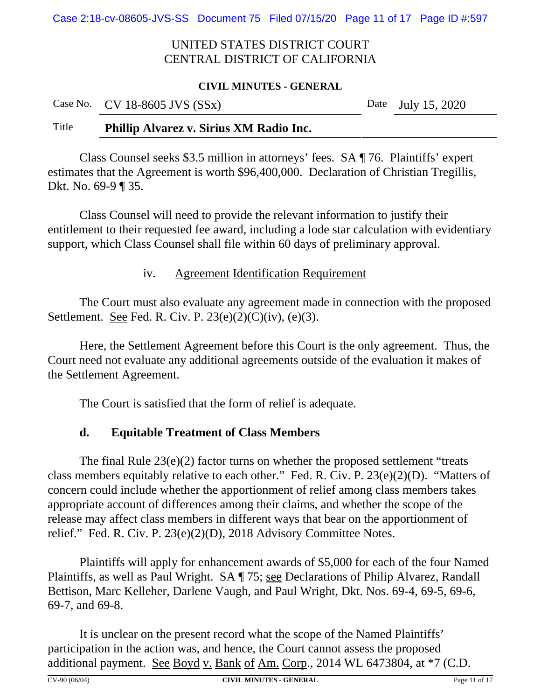Case 2:18-cv-08605-JVS-SS Document 75 Filed 07/15/20 Page 11 of 17 Page ID #:597

## UNITED STATES DISTRICT COURT CENTRAL DISTRICT OF CALIFORNIA

#### **CIVIL MINUTES - GENERAL**

|         | Case No. CV 18-8605 JVS $(SSx)$                                                                                    | Date July 15, 2020 |
|---------|--------------------------------------------------------------------------------------------------------------------|--------------------|
| $TL1 -$ | $\mathbf{u}$ and $\mathbf{u}$ and $\mathbf{u}$ are $\mathbf{v}$ and $\mathbf{v}$ and $\mathbf{v}$ are $\mathbf{u}$ |                    |

#### Title **Phillip Alvarez v. Sirius XM Radio Inc.**

Class Counsel seeks \$3.5 million in attorneys' fees. SA ¶ 76. Plaintiffs' expert estimates that the Agreement is worth \$96,400,000. Declaration of Christian Tregillis, Dkt. No. 69-9 ¶ 35.

Class Counsel will need to provide the relevant information to justify their entitlement to their requested fee award, including a lode star calculation with evidentiary support, which Class Counsel shall file within 60 days of preliminary approval.

#### iv. Agreement Identification Requirement

The Court must also evaluate any agreement made in connection with the proposed Settlement. See Fed. R. Civ. P.  $23(e)(2)(C)(iv)$ ,  $(e)(3)$ .

Here, the Settlement Agreement before this Court is the only agreement. Thus, the Court need not evaluate any additional agreements outside of the evaluation it makes of the Settlement Agreement.

The Court is satisfied that the form of relief is adequate.

## **d. Equitable Treatment of Class Members**

The final Rule 23(e)(2) factor turns on whether the proposed settlement "treats class members equitably relative to each other." Fed. R. Civ. P. 23(e)(2)(D). "Matters of concern could include whether the apportionment of relief among class members takes appropriate account of differences among their claims, and whether the scope of the release may affect class members in different ways that bear on the apportionment of relief." Fed. R. Civ. P. 23(e)(2)(D), 2018 Advisory Committee Notes.

Plaintiffs will apply for enhancement awards of \$5,000 for each of the four Named Plaintiffs, as well as Paul Wright. SA ¶ 75; <u>see</u> Declarations of Philip Alvarez, Randall Bettison, Marc Kelleher, Darlene Vaugh, and Paul Wright, Dkt. Nos. 69-4, 69-5, 69-6, 69-7, and 69-8.

It is unclear on the present record what the scope of the Named Plaintiffs' participation in the action was, and hence, the Court cannot assess the proposed additional payment. See Boyd v. Bank of Am. Corp., 2014 WL 6473804, at \*7 (C.D.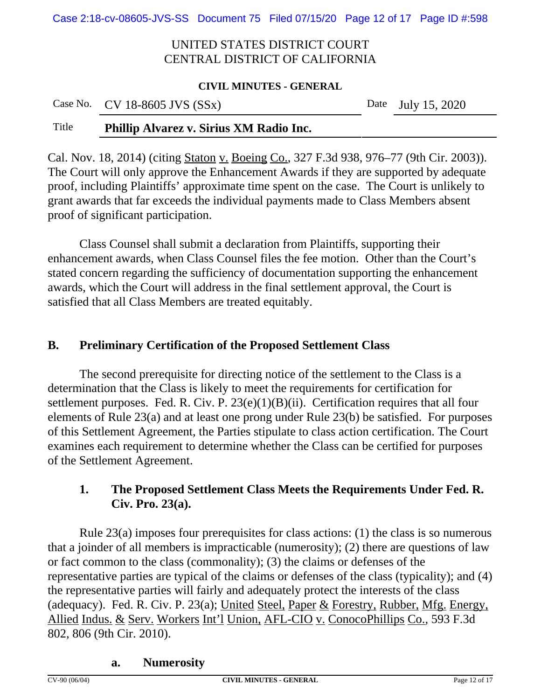Case 2:18-cv-08605-JVS-SS Document 75 Filed 07/15/20 Page 12 of 17 Page ID #:598

## UNITED STATES DISTRICT COURT CENTRAL DISTRICT OF CALIFORNIA

#### **CIVIL MINUTES - GENERAL**

|                 | Case No. CV 18-8605 JVS $(SSx)$ |  |                                        |  | Date July 15, 2020 |  |
|-----------------|---------------------------------|--|----------------------------------------|--|--------------------|--|
| $T^*$ and $T^*$ | $\mathbf{m}$ $\mathbf{m}$       |  | $\alpha \cdot \cdot \cdot \cdot \cdot$ |  |                    |  |

#### Title **Phillip Alvarez v. Sirius XM Radio Inc.**

Cal. Nov. 18, 2014) (citing Staton v. Boeing Co., 327 F.3d 938, 976–77 (9th Cir. 2003)). The Court will only approve the Enhancement Awards if they are supported by adequate proof, including Plaintiffs' approximate time spent on the case. The Court is unlikely to grant awards that far exceeds the individual payments made to Class Members absent proof of significant participation.

Class Counsel shall submit a declaration from Plaintiffs, supporting their enhancement awards, when Class Counsel files the fee motion. Other than the Court's stated concern regarding the sufficiency of documentation supporting the enhancement awards, which the Court will address in the final settlement approval, the Court is satisfied that all Class Members are treated equitably.

#### **B. Preliminary Certification of the Proposed Settlement Class**

The second prerequisite for directing notice of the settlement to the Class is a determination that the Class is likely to meet the requirements for certification for settlement purposes. Fed. R. Civ. P. 23(e)(1)(B)(ii). Certification requires that all four elements of Rule 23(a) and at least one prong under Rule 23(b) be satisfied. For purposes of this Settlement Agreement, the Parties stipulate to class action certification. The Court examines each requirement to determine whether the Class can be certified for purposes of the Settlement Agreement.

# **1. The Proposed Settlement Class Meets the Requirements Under Fed. R. Civ. Pro. 23(a).**

Rule 23(a) imposes four prerequisites for class actions: (1) the class is so numerous that a joinder of all members is impracticable (numerosity); (2) there are questions of law or fact common to the class (commonality); (3) the claims or defenses of the representative parties are typical of the claims or defenses of the class (typicality); and (4) the representative parties will fairly and adequately protect the interests of the class (adequacy). Fed. R. Civ. P. 23(a); United Steel, Paper & Forestry, Rubber, Mfg. Energy, Allied Indus. & Serv. Workers Int'l Union, AFL-CIO v. ConocoPhillips Co., 593 F.3d 802, 806 (9th Cir. 2010).

#### **a. Numerosity**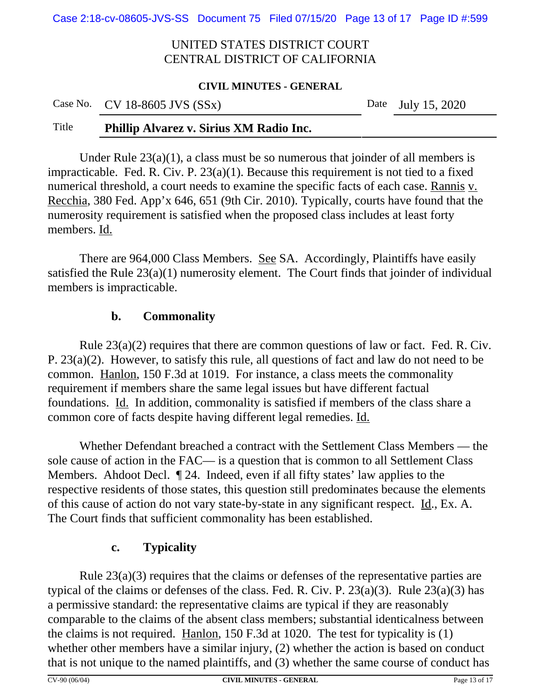Case 2:18-cv-08605-JVS-SS Document 75 Filed 07/15/20 Page 13 of 17 Page ID #:599

## UNITED STATES DISTRICT COURT CENTRAL DISTRICT OF CALIFORNIA

#### **CIVIL MINUTES - GENERAL**

|  | Case No. CV 18-8605 JVS $(SSx)$ |  | Date July 15, 2020 |
|--|---------------------------------|--|--------------------|
|--|---------------------------------|--|--------------------|

# Title **Phillip Alvarez v. Sirius XM Radio Inc.**

Under Rule  $23(a)(1)$ , a class must be so numerous that joinder of all members is impracticable. Fed. R. Civ. P. 23(a)(1). Because this requirement is not tied to a fixed numerical threshold, a court needs to examine the specific facts of each case. Rannis v. Recchia, 380 Fed. App'x 646, 651 (9th Cir. 2010). Typically, courts have found that the numerosity requirement is satisfied when the proposed class includes at least forty members. Id.

There are 964,000 Class Members. See SA. Accordingly, Plaintiffs have easily satisfied the Rule  $23(a)(1)$  numerosity element. The Court finds that joinder of individual members is impracticable.

## **b. Commonality**

Rule 23(a)(2) requires that there are common questions of law or fact. Fed. R. Civ. P. 23(a)(2). However, to satisfy this rule, all questions of fact and law do not need to be common. Hanlon, 150 F.3d at 1019. For instance, a class meets the commonality requirement if members share the same legal issues but have different factual foundations. Id. In addition, commonality is satisfied if members of the class share a common core of facts despite having different legal remedies. Id.

Whether Defendant breached a contract with the Settlement Class Members — the sole cause of action in the FAC— is a question that is common to all Settlement Class Members. Ahdoot Decl. ¶ 24. Indeed, even if all fifty states' law applies to the respective residents of those states, this question still predominates because the elements of this cause of action do not vary state-by-state in any significant respect. Id., Ex. A. The Court finds that sufficient commonality has been established.

## **c. Typicality**

Rule 23(a)(3) requires that the claims or defenses of the representative parties are typical of the claims or defenses of the class. Fed. R. Civ. P.  $23(a)(3)$ . Rule  $23(a)(3)$  has a permissive standard: the representative claims are typical if they are reasonably comparable to the claims of the absent class members; substantial identicalness between the claims is not required. Hanlon, 150 F.3d at 1020. The test for typicality is (1) whether other members have a similar injury, (2) whether the action is based on conduct that is not unique to the named plaintiffs, and (3) whether the same course of conduct has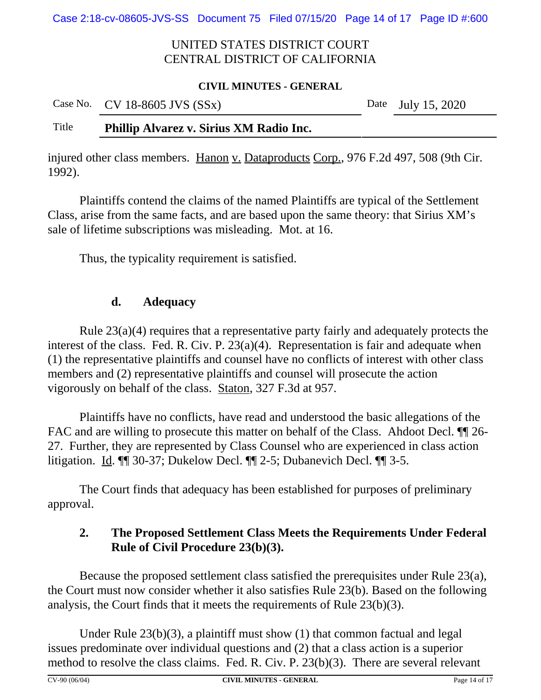Case 2:18-cv-08605-JVS-SS Document 75 Filed 07/15/20 Page 14 of 17 Page ID #:600

## UNITED STATES DISTRICT COURT CENTRAL DISTRICT OF CALIFORNIA

#### **CIVIL MINUTES - GENERAL**

|       | Case No. CV 18-8605 JVS $(SSx)$         | Date July 15, 2020 |
|-------|-----------------------------------------|--------------------|
| Title | Phillip Alvarez v. Sirius XM Radio Inc. |                    |

injured other class members. Hanon v. Dataproducts Corp., 976 F.2d 497, 508 (9th Cir. 1992).

Plaintiffs contend the claims of the named Plaintiffs are typical of the Settlement Class, arise from the same facts, and are based upon the same theory: that Sirius XM's sale of lifetime subscriptions was misleading. Mot. at 16.

Thus, the typicality requirement is satisfied.

## **d. Adequacy**

Rule 23(a)(4) requires that a representative party fairly and adequately protects the interest of the class. Fed. R. Civ. P. 23(a)(4). Representation is fair and adequate when (1) the representative plaintiffs and counsel have no conflicts of interest with other class members and (2) representative plaintiffs and counsel will prosecute the action vigorously on behalf of the class. Staton, 327 F.3d at 957.

Plaintiffs have no conflicts, have read and understood the basic allegations of the FAC and are willing to prosecute this matter on behalf of the Class. Ahdoot Decl.  $\P$  26-27. Further, they are represented by Class Counsel who are experienced in class action litigation. Id. ¶¶ 30-37; Dukelow Decl. ¶¶ 2-5; Dubanevich Decl. ¶¶ 3-5.

The Court finds that adequacy has been established for purposes of preliminary approval.

# **2. The Proposed Settlement Class Meets the Requirements Under Federal Rule of Civil Procedure 23(b)(3).**

Because the proposed settlement class satisfied the prerequisites under Rule 23(a), the Court must now consider whether it also satisfies Rule 23(b). Based on the following analysis, the Court finds that it meets the requirements of Rule 23(b)(3).

Under Rule 23(b)(3), a plaintiff must show (1) that common factual and legal issues predominate over individual questions and (2) that a class action is a superior method to resolve the class claims. Fed. R. Civ. P. 23(b)(3). There are several relevant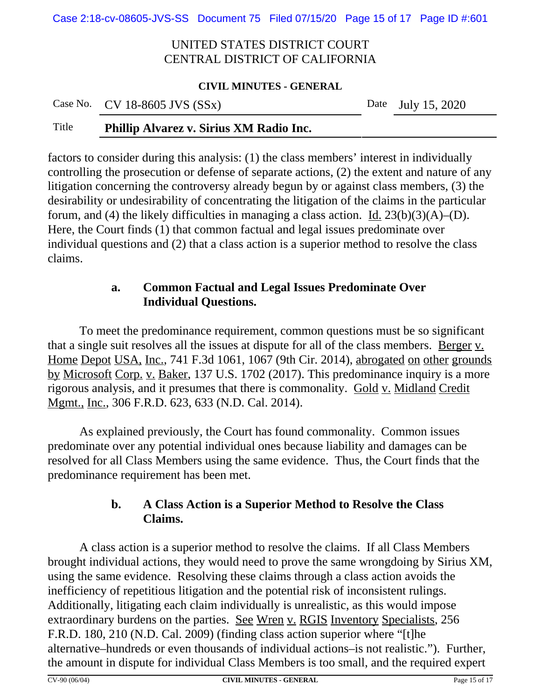Case 2:18-cv-08605-JVS-SS Document 75 Filed 07/15/20 Page 15 of 17 Page ID #:601

## UNITED STATES DISTRICT COURT CENTRAL DISTRICT OF CALIFORNIA

#### **CIVIL MINUTES - GENERAL**

|       | Case No. CV 18-8605 JVS $(SSx)$         |  | Date July 15, 2020 |
|-------|-----------------------------------------|--|--------------------|
| Title | Phillip Alvarez v. Sirius XM Radio Inc. |  |                    |

factors to consider during this analysis: (1) the class members' interest in individually controlling the prosecution or defense of separate actions, (2) the extent and nature of any litigation concerning the controversy already begun by or against class members, (3) the desirability or undesirability of concentrating the litigation of the claims in the particular forum, and (4) the likely difficulties in managing a class action. Id.  $23(b)(3)(A)$ –(D). Here, the Court finds (1) that common factual and legal issues predominate over individual questions and (2) that a class action is a superior method to resolve the class claims.

# **a. Common Factual and Legal Issues Predominate Over Individual Questions.**

To meet the predominance requirement, common questions must be so significant that a single suit resolves all the issues at dispute for all of the class members. Berger v. Home Depot USA, Inc., 741 F.3d 1061, 1067 (9th Cir. 2014), abrogated on other grounds by Microsoft Corp. v. Baker, 137 U.S. 1702 (2017). This predominance inquiry is a more rigorous analysis, and it presumes that there is commonality. Gold v. Midland Credit Mgmt., Inc., 306 F.R.D. 623, 633 (N.D. Cal. 2014).

As explained previously, the Court has found commonality. Common issues predominate over any potential individual ones because liability and damages can be resolved for all Class Members using the same evidence. Thus, the Court finds that the predominance requirement has been met.

# **b. A Class Action is a Superior Method to Resolve the Class Claims.**

A class action is a superior method to resolve the claims. If all Class Members brought individual actions, they would need to prove the same wrongdoing by Sirius XM, using the same evidence. Resolving these claims through a class action avoids the inefficiency of repetitious litigation and the potential risk of inconsistent rulings. Additionally, litigating each claim individually is unrealistic, as this would impose extraordinary burdens on the parties. See Wren v. RGIS Inventory Specialists, 256 F.R.D. 180, 210 (N.D. Cal. 2009) (finding class action superior where "[t]he alternative–hundreds or even thousands of individual actions–is not realistic."). Further, the amount in dispute for individual Class Members is too small, and the required expert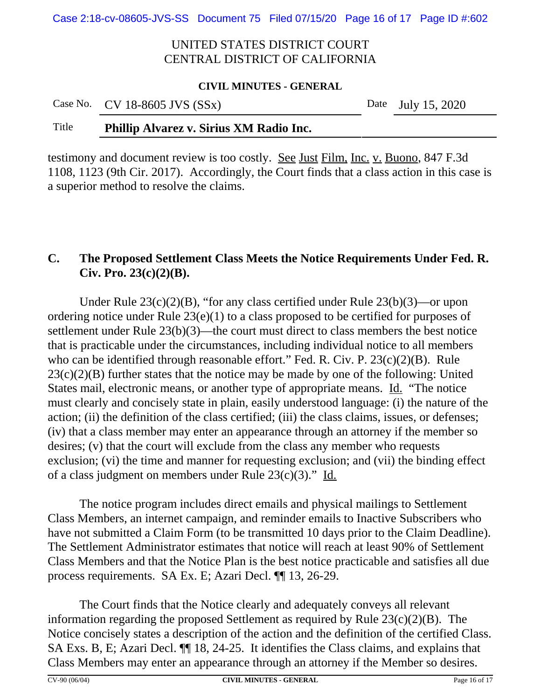Case 2:18-cv-08605-JVS-SS Document 75 Filed 07/15/20 Page 16 of 17 Page ID #:602

## UNITED STATES DISTRICT COURT CENTRAL DISTRICT OF CALIFORNIA

#### **CIVIL MINUTES - GENERAL**

|              | Case No. CV 18-8605 JVS $(SSx)$ |  |                                                                                                                                                                                                                                                                                                                                    |  |  | Date July 15, 2020 |  |
|--------------|---------------------------------|--|------------------------------------------------------------------------------------------------------------------------------------------------------------------------------------------------------------------------------------------------------------------------------------------------------------------------------------|--|--|--------------------|--|
| $TT^{\ast}A$ | $\mathbf{m}$ one in             |  | $\mathbf{C}$ $\mathbf{C}$ $\mathbf{C}$ $\mathbf{C}$ $\mathbf{C}$ $\mathbf{C}$ $\mathbf{C}$ $\mathbf{C}$ $\mathbf{C}$ $\mathbf{C}$ $\mathbf{C}$ $\mathbf{C}$ $\mathbf{C}$ $\mathbf{C}$ $\mathbf{C}$ $\mathbf{C}$ $\mathbf{C}$ $\mathbf{C}$ $\mathbf{C}$ $\mathbf{C}$ $\mathbf{C}$ $\mathbf{C}$ $\mathbf{C}$ $\mathbf{C}$ $\mathbf{$ |  |  |                    |  |

#### Title **Phillip Alvarez v. Sirius XM Radio Inc.**

testimony and document review is too costly. See Just Film, Inc. v. Buono, 847 F.3d 1108, 1123 (9th Cir. 2017). Accordingly, the Court finds that a class action in this case is a superior method to resolve the claims.

# **C. The Proposed Settlement Class Meets the Notice Requirements Under Fed. R. Civ. Pro. 23(c)(2)(B).**

Under Rule 23(c)(2)(B), "for any class certified under Rule 23(b)(3)—or upon ordering notice under Rule 23(e)(1) to a class proposed to be certified for purposes of settlement under Rule 23(b)(3)—the court must direct to class members the best notice that is practicable under the circumstances, including individual notice to all members who can be identified through reasonable effort." Fed. R. Civ. P. 23(c)(2)(B). Rule  $23(c)(2)(B)$  further states that the notice may be made by one of the following: United States mail, electronic means, or another type of appropriate means. Id. "The notice must clearly and concisely state in plain, easily understood language: (i) the nature of the action; (ii) the definition of the class certified; (iii) the class claims, issues, or defenses; (iv) that a class member may enter an appearance through an attorney if the member so desires; (v) that the court will exclude from the class any member who requests exclusion; (vi) the time and manner for requesting exclusion; and (vii) the binding effect of a class judgment on members under Rule  $23(c)(3)$ ." Id.

The notice program includes direct emails and physical mailings to Settlement Class Members, an internet campaign, and reminder emails to Inactive Subscribers who have not submitted a Claim Form (to be transmitted 10 days prior to the Claim Deadline). The Settlement Administrator estimates that notice will reach at least 90% of Settlement Class Members and that the Notice Plan is the best notice practicable and satisfies all due process requirements. SA Ex. E; Azari Decl. ¶¶ 13, 26-29.

The Court finds that the Notice clearly and adequately conveys all relevant information regarding the proposed Settlement as required by Rule 23(c)(2)(B). The Notice concisely states a description of the action and the definition of the certified Class. SA Exs. B, E; Azari Decl. ¶¶ 18, 24-25. It identifies the Class claims, and explains that Class Members may enter an appearance through an attorney if the Member so desires.